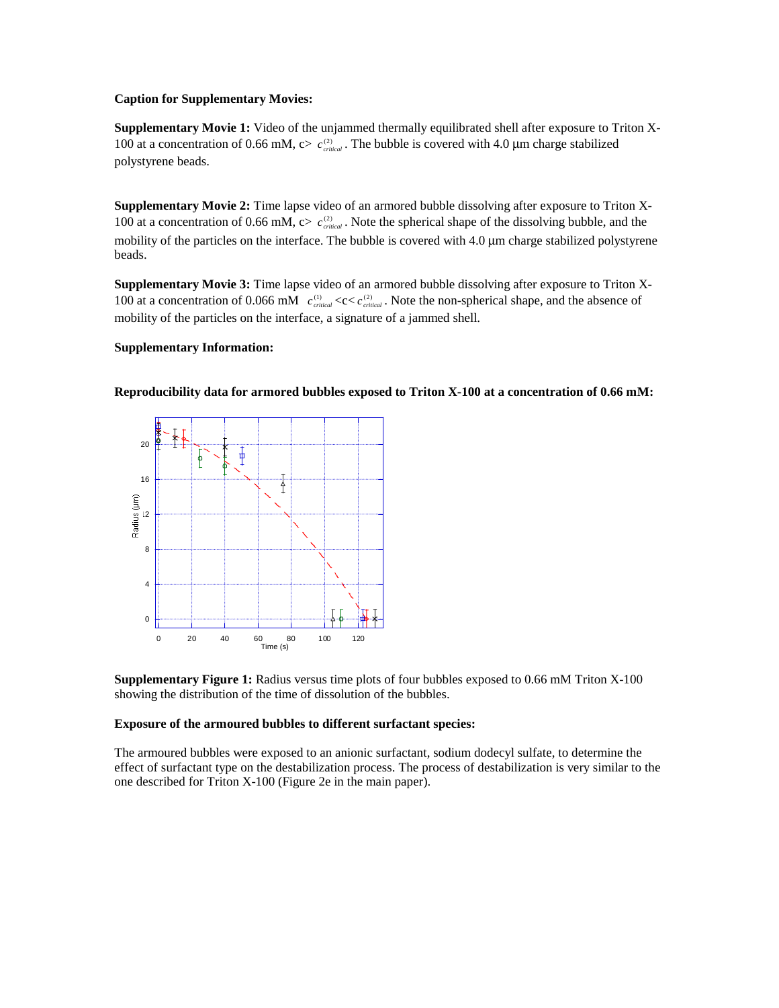## **Caption for Supplementary Movies:**

**Supplementary Movie 1:** Video of the unjammed thermally equilibrated shell after exposure to Triton X-100 at a concentration of 0.66 mM,  $c > c_{critical}^{(2)}$ . The bubble is covered with 4.0 µm charge stabilized polystyrene beads.

**Supplementary Movie 2:** Time lapse video of an armored bubble dissolving after exposure to Triton X-100 at a concentration of 0.66 mM,  $c > c_{critical}^{(2)}$ . Note the spherical shape of the dissolving bubble, and the mobility of the particles on the interface. The bubble is covered with 4.0 µm charge stabilized polystyrene beads.

**Supplementary Movie 3:** Time lapse video of an armored bubble dissolving after exposure to Triton X-100 at a concentration of 0.066 mM  $c_{critical}^{(1)} \ll c \ll c_{critical}^{(2)}$ . Note the non-spherical shape, and the absence of mobility of the particles on the interface, a signature of a jammed shell.

## **Supplementary Information:**



**Reproducibility data for armored bubbles exposed to Triton X-100 at a concentration of 0.66 mM:** 

**Supplementary Figure 1:** Radius versus time plots of four bubbles exposed to 0.66 mM Triton X-100 showing the distribution of the time of dissolution of the bubbles.

## **Exposure of the armoured bubbles to different surfactant species:**

The armoured bubbles were exposed to an anionic surfactant, sodium dodecyl sulfate, to determine the effect of surfactant type on the destabilization process. The process of destabilization is very similar to the one described for Triton X-100 (Figure 2e in the main paper).